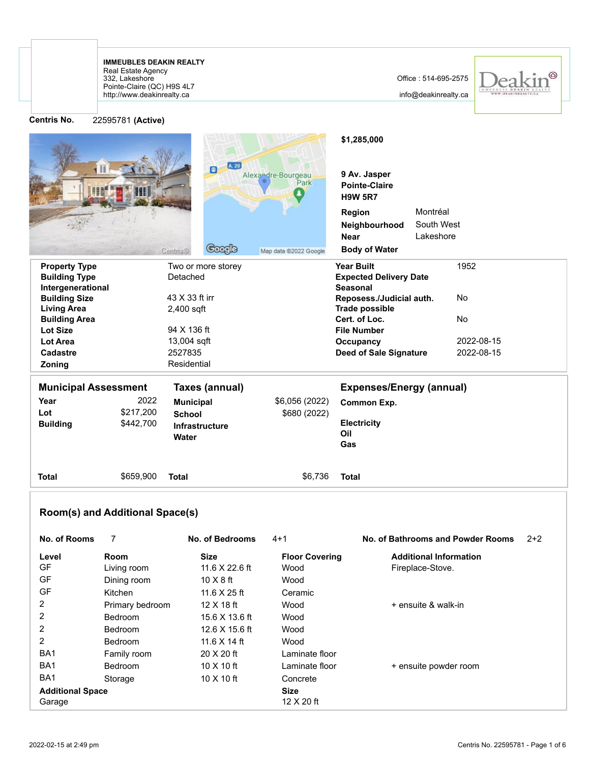http://www.deakinrealty.ca Pointe-Claire (QC) H9S 4L7 332, Lakeshore Real Estate Agency **IMMEUBLES DEAKIN REALTY**

info@deakinrealty.ca



| <b>Centris No.</b>                         | 22595781 (Active)               |                                        |                            |                                                                       |                               |                                   |       |
|--------------------------------------------|---------------------------------|----------------------------------------|----------------------------|-----------------------------------------------------------------------|-------------------------------|-----------------------------------|-------|
|                                            |                                 | A. 20<br>圓                             | Alexandre-Bourgeau<br>Park | \$1,285,000<br>9 Av. Jasper<br><b>Pointe-Claire</b><br><b>H9W 5R7</b> |                               |                                   |       |
|                                            |                                 |                                        |                            | Region                                                                | Montréal                      |                                   |       |
|                                            |                                 |                                        |                            | Neighbourhood                                                         | South West                    |                                   |       |
|                                            |                                 |                                        |                            | <b>Near</b>                                                           | Lakeshore                     |                                   |       |
|                                            |                                 | <b>Google</b><br><b>Centris®</b>       | Map data @2022 Google      | <b>Body of Water</b>                                                  |                               |                                   |       |
| <b>Property Type</b>                       |                                 | Two or more storey                     |                            | <b>Year Built</b>                                                     |                               | 1952                              |       |
| <b>Building Type</b>                       |                                 | Detached                               |                            | <b>Expected Delivery Date</b>                                         |                               |                                   |       |
| Intergenerational                          |                                 |                                        |                            | <b>Seasonal</b>                                                       |                               |                                   |       |
| <b>Building Size</b>                       |                                 | 43 X 33 ft irr                         |                            | Reposess./Judicial auth.<br><b>Trade possible</b>                     |                               | No                                |       |
| <b>Living Area</b><br><b>Building Area</b> |                                 | 2,400 sqft                             |                            | Cert. of Loc.                                                         |                               | No.                               |       |
| <b>Lot Size</b>                            |                                 | 94 X 136 ft                            |                            | <b>File Number</b>                                                    |                               |                                   |       |
| Lot Area                                   |                                 | 13,004 sqft                            |                            | Occupancy                                                             |                               | 2022-08-15                        |       |
| Cadastre                                   |                                 | 2527835                                |                            | <b>Deed of Sale Signature</b>                                         |                               | 2022-08-15                        |       |
| Zoning                                     |                                 | Residential                            |                            |                                                                       |                               |                                   |       |
| <b>Municipal Assessment</b>                |                                 | <b>Taxes (annual)</b>                  |                            | <b>Expenses/Energy (annual)</b>                                       |                               |                                   |       |
|                                            |                                 |                                        |                            |                                                                       |                               |                                   |       |
| Year<br>Lot                                | 2022<br>\$217,200               | <b>Municipal</b>                       | \$6,056 (2022)             | Common Exp.                                                           |                               |                                   |       |
| <b>Building</b>                            | \$442,700                       | <b>School</b><br><b>Infrastructure</b> | \$680 (2022)               | <b>Electricity</b>                                                    |                               |                                   |       |
|                                            |                                 | Water                                  |                            | Oil                                                                   |                               |                                   |       |
|                                            |                                 |                                        |                            | Gas                                                                   |                               |                                   |       |
| Total                                      | \$659,900                       | <b>Total</b>                           | \$6,736                    | <b>Total</b>                                                          |                               |                                   |       |
|                                            |                                 |                                        |                            |                                                                       |                               |                                   |       |
|                                            | Room(s) and Additional Space(s) |                                        |                            |                                                                       |                               |                                   |       |
| No. of Rooms                               | 7                               | <b>No. of Bedrooms</b>                 | $4+1$                      |                                                                       |                               | No. of Bathrooms and Powder Rooms | $2+2$ |
| Level                                      | Room                            | <b>Size</b>                            | <b>Floor Covering</b>      |                                                                       | <b>Additional Information</b> |                                   |       |
| GF                                         | Living room                     | 11.6 X 22.6 ft                         | Wood                       |                                                                       | Fireplace-Stove.              |                                   |       |
| GF                                         | Dining room                     | $10 \times 8$ ft                       | Wood                       |                                                                       |                               |                                   |       |
| GF                                         | Kitchen                         | 11.6 X 25 ft                           | Ceramic                    |                                                                       |                               |                                   |       |
| 2                                          | Primary bedroom                 | 12 X 18 ft                             | Wood                       |                                                                       | + ensuite & walk-in           |                                   |       |
| 2                                          | Bedroom                         | 15.6 X 13.6 ft                         | Wood                       |                                                                       |                               |                                   |       |
| $\overline{\mathbf{c}}$                    | Bedroom                         | 12.6 X 15.6 ft                         | Wood                       |                                                                       |                               |                                   |       |
| 2                                          | Bedroom                         | 11.6 X 14 ft                           | Wood                       |                                                                       |                               |                                   |       |
| BA1                                        | Family room                     | 20 X 20 ft                             | Laminate floor             |                                                                       |                               |                                   |       |
| BA1                                        | Bedroom                         | 10 X 10 ft                             | Laminate floor             |                                                                       | + ensuite powder room         |                                   |       |
| BA1                                        | Storage                         | 10 X 10 ft                             | Concrete                   |                                                                       |                               |                                   |       |
| <b>Additional Space</b>                    |                                 |                                        | <b>Size</b>                |                                                                       |                               |                                   |       |

Garage 12 X 20 ft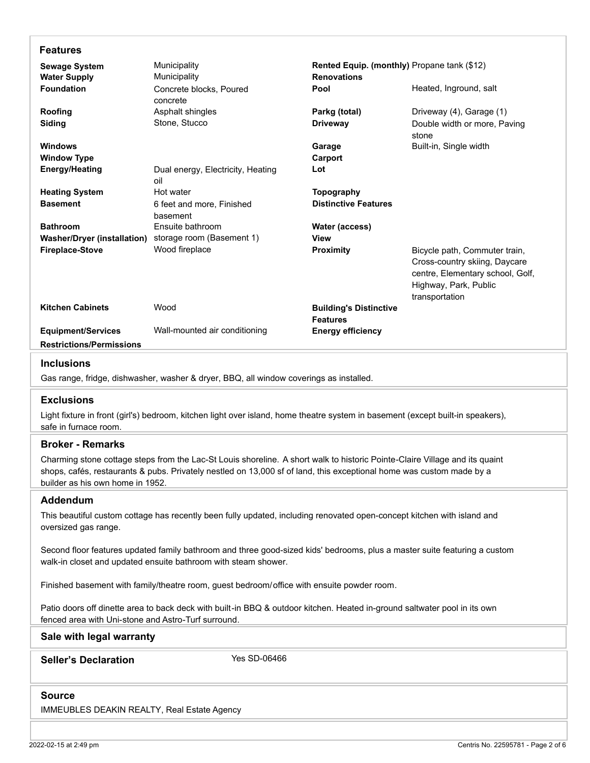| <b>Features</b>                                                                                                                                                                             |                                               |                                             |                                  |  |  |  |  |  |
|---------------------------------------------------------------------------------------------------------------------------------------------------------------------------------------------|-----------------------------------------------|---------------------------------------------|----------------------------------|--|--|--|--|--|
| Municipality<br><b>Sewage System</b>                                                                                                                                                        |                                               | Rented Equip. (monthly) Propane tank (\$12) |                                  |  |  |  |  |  |
| <b>Water Supply</b>                                                                                                                                                                         | Municipality                                  | <b>Renovations</b>                          |                                  |  |  |  |  |  |
| <b>Foundation</b>                                                                                                                                                                           | Concrete blocks, Poured                       | Pool                                        | Heated, Inground, salt           |  |  |  |  |  |
| Roofing                                                                                                                                                                                     | concrete<br>Asphalt shingles                  | Parkg (total)                               | Driveway (4), Garage (1)         |  |  |  |  |  |
| Siding                                                                                                                                                                                      | Stone, Stucco                                 | <b>Driveway</b>                             | Double width or more, Paving     |  |  |  |  |  |
|                                                                                                                                                                                             |                                               |                                             | stone                            |  |  |  |  |  |
| <b>Windows</b>                                                                                                                                                                              |                                               | Garage                                      | Built-in, Single width           |  |  |  |  |  |
| <b>Window Type</b>                                                                                                                                                                          |                                               | Carport                                     |                                  |  |  |  |  |  |
| <b>Energy/Heating</b>                                                                                                                                                                       | Dual energy, Electricity, Heating<br>oil      | Lot                                         |                                  |  |  |  |  |  |
| <b>Heating System</b>                                                                                                                                                                       | Hot water                                     | <b>Topography</b>                           |                                  |  |  |  |  |  |
| <b>Basement</b>                                                                                                                                                                             | 6 feet and more, Finished                     | <b>Distinctive Features</b>                 |                                  |  |  |  |  |  |
|                                                                                                                                                                                             | basement                                      |                                             |                                  |  |  |  |  |  |
| <b>Bathroom</b><br><b>Washer/Dryer (installation)</b>                                                                                                                                       | Ensuite bathroom<br>storage room (Basement 1) | <b>Water (access)</b><br>View               |                                  |  |  |  |  |  |
| <b>Fireplace-Stove</b>                                                                                                                                                                      | Wood fireplace                                | Proximity                                   | Bicycle path, Commuter train,    |  |  |  |  |  |
|                                                                                                                                                                                             |                                               |                                             | Cross-country skiing, Daycare    |  |  |  |  |  |
|                                                                                                                                                                                             |                                               |                                             | centre, Elementary school, Golf, |  |  |  |  |  |
|                                                                                                                                                                                             |                                               |                                             | Highway, Park, Public            |  |  |  |  |  |
|                                                                                                                                                                                             |                                               |                                             | transportation                   |  |  |  |  |  |
| <b>Kitchen Cabinets</b>                                                                                                                                                                     | Wood                                          | <b>Building's Distinctive</b>               |                                  |  |  |  |  |  |
|                                                                                                                                                                                             |                                               | <b>Features</b>                             |                                  |  |  |  |  |  |
| <b>Equipment/Services</b><br><b>Restrictions/Permissions</b>                                                                                                                                | Wall-mounted air conditioning                 | <b>Energy efficiency</b>                    |                                  |  |  |  |  |  |
|                                                                                                                                                                                             |                                               |                                             |                                  |  |  |  |  |  |
| <b>Inclusions</b>                                                                                                                                                                           |                                               |                                             |                                  |  |  |  |  |  |
| Gas range, fridge, dishwasher, washer & dryer, BBQ, all window coverings as installed.                                                                                                      |                                               |                                             |                                  |  |  |  |  |  |
| <b>Exclusions</b>                                                                                                                                                                           |                                               |                                             |                                  |  |  |  |  |  |
| Light fixture in front (girl's) bedroom, kitchen light over island, home theatre system in basement (except built-in speakers),<br>safe in furnace room.                                    |                                               |                                             |                                  |  |  |  |  |  |
| <b>Broker - Remarks</b>                                                                                                                                                                     |                                               |                                             |                                  |  |  |  |  |  |
| Charming stone cottage steps from the Lac-St Louis shoreline. A short walk to historic Pointe-Claire Village and its quaint                                                                 |                                               |                                             |                                  |  |  |  |  |  |
| shops, cafés, restaurants & pubs. Privately nestled on 13,000 sf of land, this exceptional home was custom made by a                                                                        |                                               |                                             |                                  |  |  |  |  |  |
| builder as his own home in 1952.                                                                                                                                                            |                                               |                                             |                                  |  |  |  |  |  |
| Addendum                                                                                                                                                                                    |                                               |                                             |                                  |  |  |  |  |  |
| This beautiful custom cottage has recently been fully updated, including renovated open-concept kitchen with island and<br>oversized gas range.                                             |                                               |                                             |                                  |  |  |  |  |  |
|                                                                                                                                                                                             |                                               |                                             |                                  |  |  |  |  |  |
| Second floor features updated family bathroom and three good-sized kids' bedrooms, plus a master suite featuring a custom<br>walk-in closet and updated ensuite bathroom with steam shower. |                                               |                                             |                                  |  |  |  |  |  |
| Finished basement with family/theatre room, guest bedroom/office with ensuite powder room.                                                                                                  |                                               |                                             |                                  |  |  |  |  |  |
| Patio doors off dinette area to back deck with built-in BBQ & outdoor kitchen. Heated in-ground saltwater pool in its own                                                                   |                                               |                                             |                                  |  |  |  |  |  |
| fenced area with Uni-stone and Astro-Turf surround.                                                                                                                                         |                                               |                                             |                                  |  |  |  |  |  |
| Sale with legal warranty                                                                                                                                                                    |                                               |                                             |                                  |  |  |  |  |  |
| Yes SD-06466<br><b>Seller's Declaration</b>                                                                                                                                                 |                                               |                                             |                                  |  |  |  |  |  |
|                                                                                                                                                                                             |                                               |                                             |                                  |  |  |  |  |  |
| <b>Source</b>                                                                                                                                                                               |                                               |                                             |                                  |  |  |  |  |  |
|                                                                                                                                                                                             |                                               |                                             |                                  |  |  |  |  |  |
| IMMEUBLES DEAKIN REALTY, Real Estate Agency                                                                                                                                                 |                                               |                                             |                                  |  |  |  |  |  |
|                                                                                                                                                                                             |                                               |                                             |                                  |  |  |  |  |  |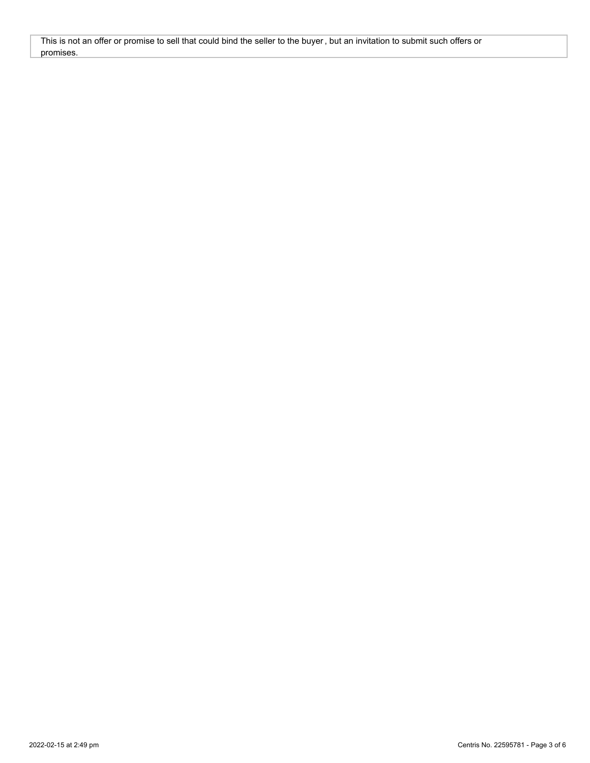This is not an offer or promise to sell that could bind the seller to the buyer, but an invitation to submit such offers or promises.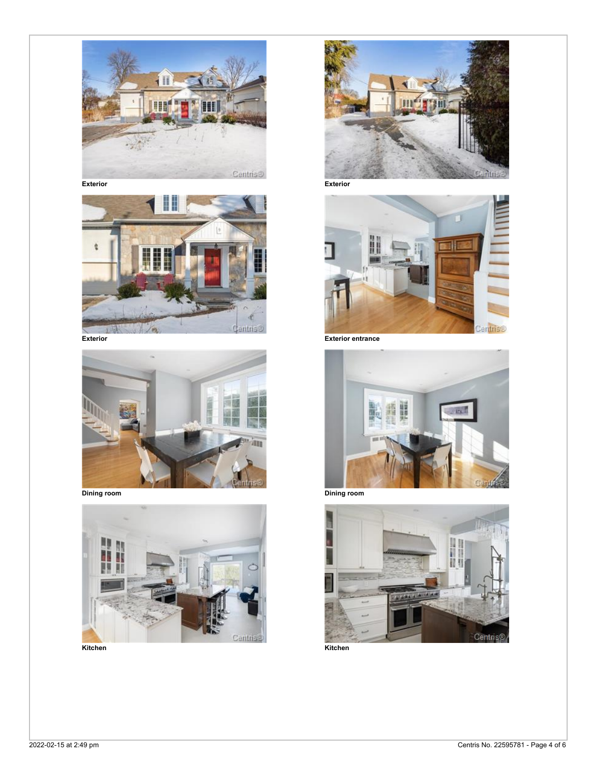















**Kitchen Kitchen**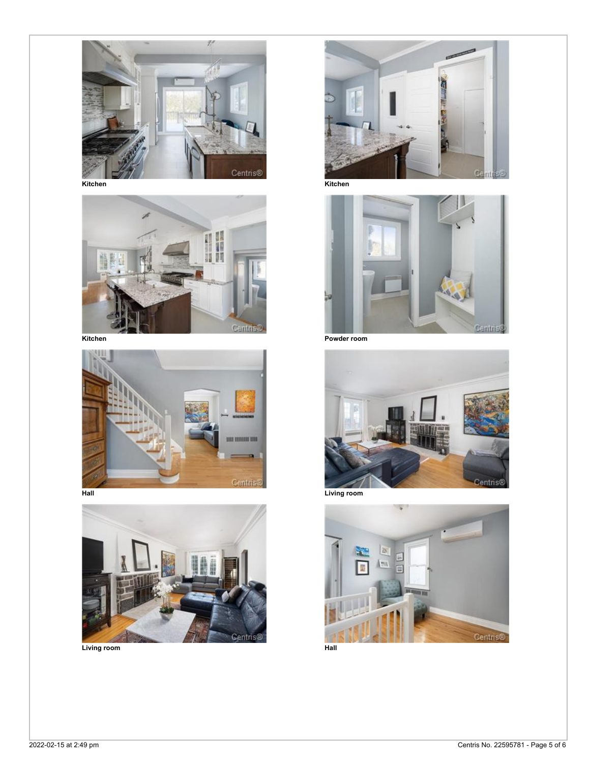









**Kitchen Kitchen**